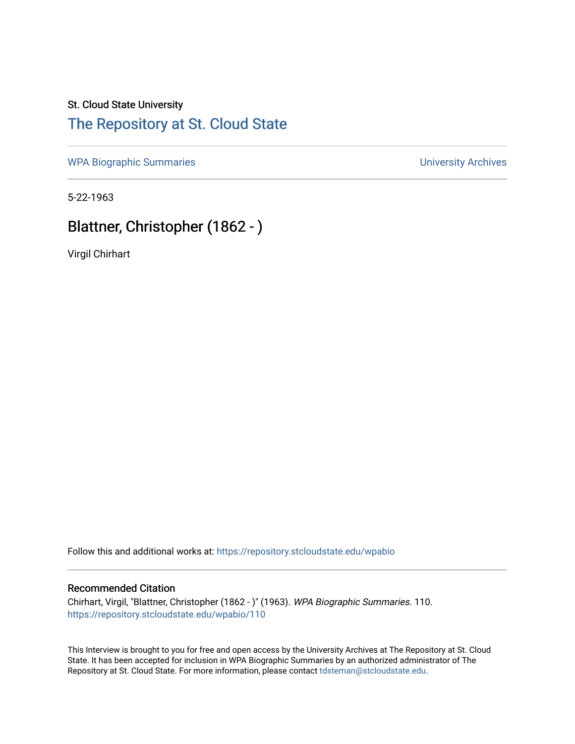### St. Cloud State University [The Repository at St. Cloud State](https://repository.stcloudstate.edu/)

[WPA Biographic Summaries](https://repository.stcloudstate.edu/wpabio) **WPA Biographic Summaries University Archives** 

5-22-1963

# Blattner, Christopher (1862 - )

Virgil Chirhart

Follow this and additional works at: [https://repository.stcloudstate.edu/wpabio](https://repository.stcloudstate.edu/wpabio?utm_source=repository.stcloudstate.edu%2Fwpabio%2F110&utm_medium=PDF&utm_campaign=PDFCoverPages) 

#### Recommended Citation

Chirhart, Virgil, "Blattner, Christopher (1862 - )" (1963). WPA Biographic Summaries. 110. [https://repository.stcloudstate.edu/wpabio/110](https://repository.stcloudstate.edu/wpabio/110?utm_source=repository.stcloudstate.edu%2Fwpabio%2F110&utm_medium=PDF&utm_campaign=PDFCoverPages) 

This Interview is brought to you for free and open access by the University Archives at The Repository at St. Cloud State. It has been accepted for inclusion in WPA Biographic Summaries by an authorized administrator of The Repository at St. Cloud State. For more information, please contact [tdsteman@stcloudstate.edu.](mailto:tdsteman@stcloudstate.edu)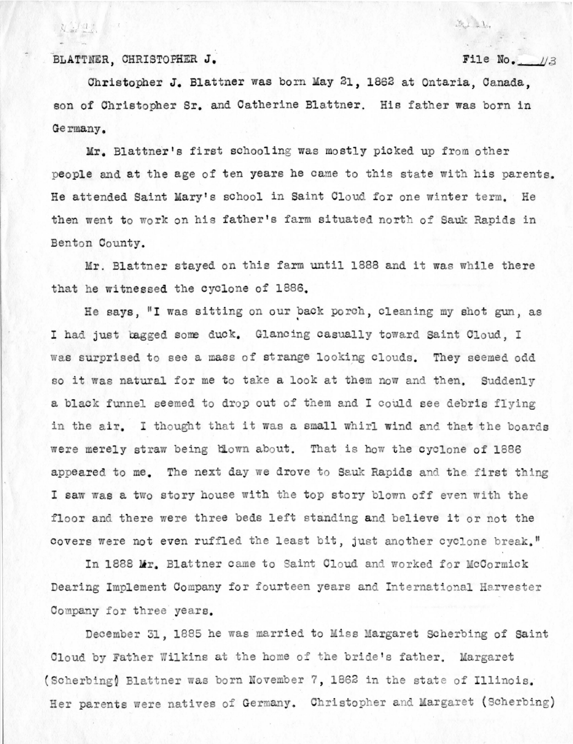BLATTNER, CHRISTOPHER J.

 $1.41$ 

### File No.  $1/3$

2126

Christopher J. Blattner was born May 21, 1862 at Ontaria, Canada, son of Christopher Sr. and Catherine Blattner. His father was born in Germany.

Mr. Blattner's first schooling was mostly picked up from other people and at the age of ten years he came to this state with his parents. He attended Saint Mary's school in Saint Cloud for one winter term. He then went to work on his father's farm situated north of Sauk Rapids in Benton County.

Mr. Blattner stayed on this farm until 1888 and it was while there that he witnessed the cyclone of 1886.

He says, "I was sitting on our back porch, cleaning my shot gun, as I had just bagged some duck. Glancing casually toward Saint Cloud. I was surprised to see a mass of strange looking clouds. They seemed odd so it was natural for me to take a look at them now and then. Suddenly a black funnel seemed to drop out of them and I could see debris flying in the air. I thought that it was a small whirl wind and that the boards were merely straw being blown about. That is how the cyclone of 1886 appeared to me. The next day we drove to Sauk Rapids and the first thing I saw was a two story house with the top story blown off even with the floor and there were three beds left standing and believe it or not the covers were not even ruffled the least bit, just another cyclone break."

In 1888 Mr. Blattner came to Saint Cloud and worked for McCormick Dearing Implement Company for fourteen years and International Harvester Company for three years.

December 31, 1885 he was married to Miss Margaret Scherbing of Saint Cloud by Father Wilkins at the home of the bride's father. Margaret (Scherbing) Blattner was born November 7, 1862 in the state of Illinois. Her parents were natives of Germany. Christopher and Margaret (Scherbing)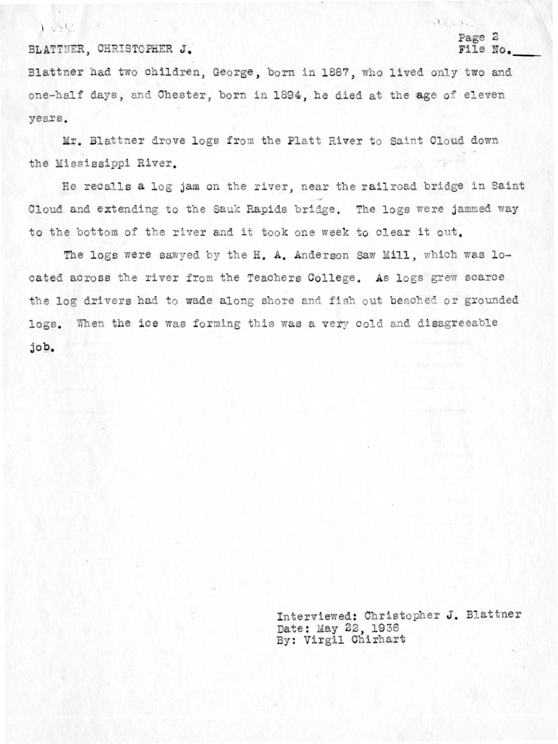$1.7512$ 

#### BLATTNER, CHRISTOPHER J.

#### Page 2 File No.

 $X \sim 4.$ 

Blattner had two children, George, born in 1887, who lived only two and one-half days, and Chester, born in 1894, he died at the age of eleven vears.

Mr. Blattner drove logs from the Platt River to Saint Cloud down the Mississippi River.

He recalls a log jam on the river, near the railroad bridge in Saint Cloud and extending to the Sauk Rapids bridge. The logs were jammed way to the bottom of the river and it took one week to clear it out.

The logs were sawyed by the H. A. Anderson Saw Mill, which was located across the river from the Teachers College. As logs grew scarce the log drivers had to wade along shore and fish out beached or grounded logs. When the ice was forming this was a very cold and disagreeable job.

> Interviewed: Christopher J. Blattner Date: May 22, 1936<br>By: Virgil Chirhart